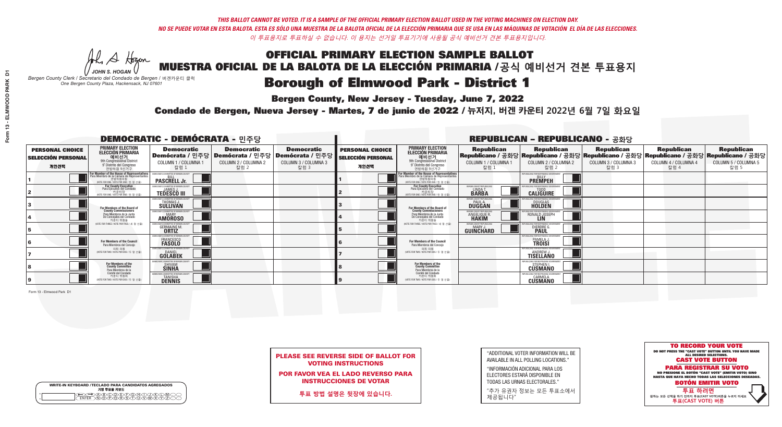**Bergen County, New Jersey - Tuesday, June 7, 2022** 

A Hogen *JOHN S. HOGAN*

| <b>WRITE-IN KEYBOARD /TECLADO PARA CANDIDATOS AGREGADOS</b><br>기명 투표용 키보드 |
|---------------------------------------------------------------------------|
| >@®©®®®®®™©®©®®<br>`™®®®®®®™™™™™™™©                                       |

*Bergen County Clerk / Secretario del Condado de Bergen /* 버겐카운티 클럭 *One Bergen County Plaza, Hackensack, NJ 07601*



PLEASE SEE REVERSE SIDE OF BALLOT FOR VOTING INSTRUCTIONS

POR FAVOR VEA EL LADO REVERSO PARA INSTRUCCIONES DE VOTAR

**투표 방법 설명은 뒷장에 있습니다.**

"ADDITIONAL VOTER INFORMATION WILL BE AVAILABLE IN ALL POLLING LOCATIONS."

"INFORMACIÓN ADICIONAL PARA LOS ELECTORES ESTARÁ DISPONIBLE EN TODAS LAS URNAS ELECTORALES."

"추가 유권자 정보는 모든 투표소에서 제공됩니다"

Condado de Bergen, Nueva Jersey - Martes, 7 de junio de 2022 / 뉴저지, 버겐 카운티 2022년 6월 7일 화요일 *One Bergen County Plaza, Hackensack, NJ 07601*

|                                                             |                                                                                                                                               | <b>DEMOCRATIC - DEMÓCRATA - 민주당</b>                                    |                                                   |                                                                                                        |                                                             |                                                                                                                                               |                                                           | <b>REPUBLICAN - REPUBLICANO - 공화당</b>                                                                                                                  |                                                   |                                                   |                                                   |
|-------------------------------------------------------------|-----------------------------------------------------------------------------------------------------------------------------------------------|------------------------------------------------------------------------|---------------------------------------------------|--------------------------------------------------------------------------------------------------------|-------------------------------------------------------------|-----------------------------------------------------------------------------------------------------------------------------------------------|-----------------------------------------------------------|--------------------------------------------------------------------------------------------------------------------------------------------------------|---------------------------------------------------|---------------------------------------------------|---------------------------------------------------|
| <b>PERSONAL CHOICE</b><br><b>SELECCIÓN PERSONAL</b><br>개인선택 | <b>PRIMARY ELECTION</b><br>ELECCIÓN PRIMARIA<br>예비선거<br><sup>9th</sup> Congressional District<br>9° Distrito del Congreso<br>연방하워 9선거구        | <b>Democratic</b><br>COLUMN 1 / COLUMNA 1<br>칼럼 1                      | <b>Democratic</b><br>COLUMN 2 / COLUMNA 2<br>칼럼 2 | <b>Democratic</b><br>│Demócrata / 민주당│Demócrata / 민주당│Demócrata / 민주당│<br>COLUMN 3 / COLUMNA 3<br>칼럼 3 | <b>PERSONAL CHOICE</b><br><b>SELECCIÓN PERSONAL</b><br>개인선택 | <b>PRIMARY ELECTION</b><br>ELECCIÓN PRIMARIA<br>9th Congressional District<br>9° Distrito del Congreso<br>연방하워 9선거구                           | <b>Republican</b><br>COLUMN 1 / COLUMNA 1<br>■칼럼 1        | <b>Republican</b><br>Republicano / 공화당 Republicano / 공화당 Republicano / 공화당 Republicano / 공화당 Republicano / 공화당<br>COLUMN 2 / COLUMNA 2<br><u> 캄럼 2</u> | <b>Republican</b><br>COLUMN 3 / COLUMNA 3<br>칼럼 3 | <b>Republican</b><br>COLUMN 4 / COLUMNA 4<br>칼럼 4 | <b>Republican</b><br>COLUMN 5 / COLUMNA 5<br>칼럼 5 |
|                                                             | For Member of the House of Representatives<br>Para Miembro de la Cámara de Representantes<br>연방하원의원<br>(VOTE FOR ONE / VOTE POR UNO / 한 명 선출) | <b>PASCRELL Jr.</b>                                                    |                                                   |                                                                                                        |                                                             | For Member of the House of Representatives<br>Para Miembro de la Cámara de Representantes<br>연방하원의원<br>(VOTE FOR ONE / VOTE POR UNO / 한 명 선출) |                                                           | <b>PREMPEH</b>                                                                                                                                         |                                                   |                                                   |                                                   |
|                                                             | <b>For County Executive</b><br>Para Ejecutivo del Condado<br>가운티장<br>(VOTE FOR ONE / VOTE POR UNO / 한 명 선출)                                   | JEMOCRATIC COMMITTEE OF BERGEN COUNTY<br><b>TEDESCO III</b>            |                                                   |                                                                                                        |                                                             | For County Executive<br>Para Ejecutivo del Condado<br>. 카운티장<br>(VOTE FOR ONE / VOTE POR UNO / 한 명 선출)                                        | BERGEN COUNTY REPUBLICAN<br><b>LINDAT</b><br><b>BARBA</b> | <b>CALIGUIRE</b>                                                                                                                                       |                                                   |                                                   |                                                   |
|                                                             | For Members of the Board of<br>County Commissioners                                                                                           | MOCRATIC COMMITTEE OF BERGEN COUNT<br>THOMAS J.                        |                                                   |                                                                                                        |                                                             | For Members of the Board of<br>County Commissioners                                                                                           | ERGEN COUNTY REPUBLICA<br><b>PAUL A.</b><br><b>DUGGAN</b> | <b>DOUGLAS</b>                                                                                                                                         |                                                   |                                                   |                                                   |
|                                                             | Para Miembros de la Junta<br>De Concejales del Condado<br>카운티 위원들                                                                             | OCRATIC COMMITTEE OF BERGEN COUNT<br><b>MARY</b><br><b>AMÖROSO</b>     |                                                   |                                                                                                        |                                                             | Para Miembros de la Junta<br>De Concejales del Condado<br>카운티 위원들                                                                             | ERGEN COUNTY REPUBLICAN<br>ANGELIQUE R.                   | VS ENR RESPNNSIRI E GNV<br>RONALD JOSEPH                                                                                                               |                                                   |                                                   |                                                   |
|                                                             | VOTE FOR THREE / VOTE POR TRES / 세 명 선출)                                                                                                      | RATIC COMMITTEE OF BERGEN COU<br><b>GERMAINE M.</b>                    |                                                   |                                                                                                        |                                                             | NOTE FOR THREE / VOTE POR TRES / 세 명 선출)                                                                                                      | <b>ERGEN COUNTY REPUBLICANS</b><br>MARY.<br>GUINCHARD     | <b>FOR RESPONSIBLE</b><br><b>DIERDREL</b>                                                                                                              |                                                   |                                                   |                                                   |
|                                                             | For Members of the Council<br>Para Miembros del Conceio                                                                                       | MOCRATIC COMMITTEE OF BERGEN COUNT<br>FRANCESCO<br><b>FASOLO</b>       |                                                   |                                                                                                        |                                                             | For Members of the Council<br>Para Miembros del Concejo                                                                                       |                                                           | PAMELA J.                                                                                                                                              |                                                   |                                                   |                                                   |
|                                                             | 의회 의원<br>NOTE FOR TWO / VOTE POR DOS / 두 명 선출)                                                                                                | )CRATIC COMMITTEE OF BERGEN COUN'<br><b>GOLABEK</b>                    |                                                   |                                                                                                        |                                                             | 이히 이워<br>NOTE FOR TWO / VOTE POR DOS / 두 명 선출)                                                                                                |                                                           | PUBI ICANS FOR RESPONSIBI E GO<br><b>ANDREW J.</b><br>TISELLANO                                                                                        |                                                   |                                                   |                                                   |
|                                                             | For Members of the<br>County Committee<br>Para Miembros de la                                                                                 | <b>SHIVAM</b><br><b>SINHA</b>                                          |                                                   |                                                                                                        |                                                             | For Members of the<br>County Committee<br>Para Miembros de la<br>Comité del Condado                                                           |                                                           | FPUBLICANS FOR RESPONSIBLE GOVEI<br><b>CUSMANO</b>                                                                                                     |                                                   |                                                   |                                                   |
|                                                             | Comité del Condado<br>카운티 위원회<br>NOTE FOR TWO / VOTE POR DOS / 두 명 선출)                                                                        | EMOCRATIC COMMITTEE OF BERGEN COUNT<br><b>TANISHA</b><br><b>DENNIS</b> |                                                   |                                                                                                        |                                                             | 카운티 위원회<br>(VOTE FOR TWO / VOTE POR DOS / 두 명 선출)                                                                                             |                                                           | PUBLICANS FOR RESPONSIBLE GOVERNMEN<br>CARMELA<br><b>CUSMANO</b>                                                                                       |                                                   |                                                   |                                                   |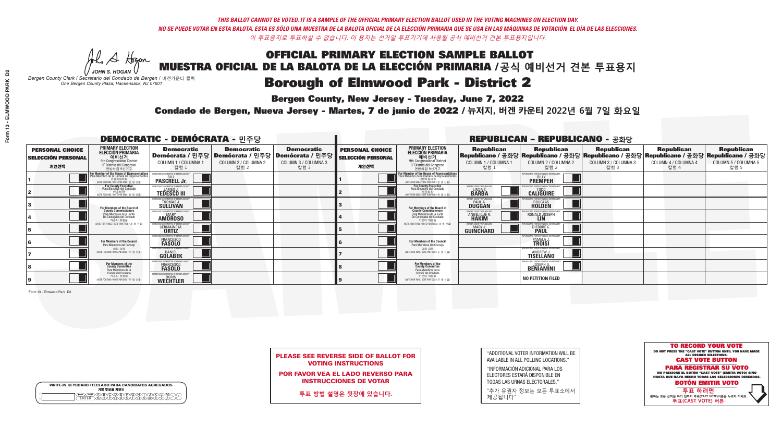A Hogen

**Bergen County, New Jersey - Tuesday, June 7, 2022** 

| <b>WRITE-IN KEYBOARD /TECLADO PARA CANDIDATOS AGREGADOS</b><br>기명 투표용 키보드 |  |
|---------------------------------------------------------------------------|--|
| (A)B)C)D)E)(F)(G)(H)(T)(T)(<br>o<br>心面有心的<br>o                            |  |

*JOHN S. HOGAN Bergen County Clerk / Secretario del Condado de Bergen /* 버겐카운티 클럭 *One Bergen County Plaza, Hackensack, NJ 07601*



PLEASE SEE REVERSE SIDE OF BALLOT FOR VOTING INSTRUCTIONS

POR FAVOR VEA EL LADO REVERSO PARA INSTRUCCIONES DE VOTAR

**투표 방법 설명은 뒷장에 있습니다.**

"ADDITIONAL VOTER INFORMATION WILL BE AVAILABLE IN ALL POLLING LOCATIONS."

"INFORMACIÓN ADICIONAL PARA LOS ELECTORES ESTARÁ DISPONIBLE EN TODAS LAS URNAS ELECTORALES."

"추가 유권자 정보는 모든 투표소에서 제공됩니다"

Condado de Bergen, Nueva Jersey - Martes, 7 de junio de 2022 / 뉴저지, 버겐 카운티 2022년 6월 7일 화요일 *One Bergen County Plaza, Hackensack, NJ 07601*

|                                                             |                                                                                                                                             | <b>DEMOCRATIC - DEMÓCRATA - 민주당</b>                                       |                                                   |                                                                                                        |                                                             |                                                                                                                                        |                                                                   | <b>REPUBLICAN - REPUBLICANO - 공화당</b>                                                                                                            |                                                   |                                                   |                                                   |
|-------------------------------------------------------------|---------------------------------------------------------------------------------------------------------------------------------------------|---------------------------------------------------------------------------|---------------------------------------------------|--------------------------------------------------------------------------------------------------------|-------------------------------------------------------------|----------------------------------------------------------------------------------------------------------------------------------------|-------------------------------------------------------------------|--------------------------------------------------------------------------------------------------------------------------------------------------|---------------------------------------------------|---------------------------------------------------|---------------------------------------------------|
| <b>PERSONAL CHOICE</b><br><b>SELECCIÓN PERSONAL</b><br>개인선택 | <b>PRIMARY ELECTION</b><br><b>ELECCIÓN PRIMARIA</b><br>예비선거<br>애 congressional District<br>9° Distrito del Congreso<br>연방하원 9선거구            | <b>Democratic</b><br>COLUMN 1 / COLUMNA 1<br>칼럼 :                         | <b>Democratic</b><br>COLUMN 2 / COLUMNA 2<br>칼럼 2 | <b>Democratic</b><br>│Demócrata / 민주당│Demócrata / 민주당│Demócrata / 민주당│<br>COLUMN 3 / COLUMNA 3<br>칼럼 3 | <b>PERSONAL CHOICE</b><br><b>SELECCIÓN PERSONAL</b><br>개인선택 | <b>PRIMARY ELECTION</b><br>ELECCIÓN PRIMARIA<br>예비선거<br><sup>9th</sup> Congressional District<br>9° Distrito del Congreso<br>연방하원 9선거구 | <b>Republican</b><br>COLUMN 1 / COLUMNA 1<br>칼럼 1                 | <b>Republican</b><br>│Republicano / 공화당│Republicano / 공화당│Republicano / 공화당│Republicano / 공화당│Republicano / 공화당<br>COLUMN 2 / COLUMNA 2<br>-칼럼 2 | <b>Republican</b><br>COLUMN 3 / COLUMNA 3<br>칼럼 3 | <b>Republican</b><br>COLUMN 4 / COLUMNA 4<br>칼럼 4 | <b>Republican</b><br>COLUMN 5 / COLUMNA 5<br>칼럼 5 |
|                                                             | or Member of the House of Representatives<br>ara Miembro de la Cámara de Representantes<br>연방하원의원<br>(VOTE FOR ONE / VOTE POR UNO / 한 명 선출) | <b>PASCRELL Jr.</b>                                                       |                                                   |                                                                                                        |                                                             | For Member of the House of Representatives<br>Para Miembro de la Cámara de Representantes<br>(VOTE FOR ONE / VOTE POR UNO / 한 명 선출     |                                                                   | EPUBLICANS FOR RESPONSIBLE GOVERNM<br><b>PREMPEH</b>                                                                                             |                                                   |                                                   |                                                   |
|                                                             | For County Executive<br>Para Ejecutivo del Condado<br>가운티장 - 카운티장<br>(VOTE FOR ONE / VOTE POR UNO / 한 명 선출)                                 | JEMOCRATIC COMMITTEE OF BERGEN COUNT<br><b>TEDESCO III</b>                |                                                   |                                                                                                        |                                                             | For County Executive<br>Para Ejecutivo del Condado<br>카운티장<br>(VOTE FOR ONE / VOTE POR UNO / 한 명 선출)                                   | BERGEN COUNTY REPUBLICAN<br><b>LINDAT</b><br><b>BARBA</b>         | <b>CALIGUIRE</b>                                                                                                                                 |                                                   |                                                   |                                                   |
|                                                             | <b>For Members of the Board of<br/>County Commissioners</b>                                                                                 | <b><i>MOCRATIC COMMITTEE OF BERGEN COUNT</i></b><br>THOMAS J.             |                                                   |                                                                                                        |                                                             | For Members of the Board of<br>County Commissioners                                                                                    | <b>ERGEN COUNTY REPUBLICAN</b><br><b>PAUL A.</b><br><b>DUGGAN</b> | <b>DOUGLAS</b>                                                                                                                                   |                                                   |                                                   |                                                   |
|                                                             | Para Miembros de la Junta<br>De Concejales del Condado<br>카우티 위원들                                                                           | <b>OCRATIC COMMITTEE OF BERGEN COUNT</b><br><b>MARY</b><br><b>AMOROSO</b> |                                                   |                                                                                                        |                                                             | Para Miembros de la Junta<br>De Concejales del Condado<br>카우티 위원들                                                                      | RGEN COUNTY REPUBLICAN<br>ANGELIQUE R                             | RONALD JOSEPH                                                                                                                                    |                                                   |                                                   |                                                   |
|                                                             | NOTE FOR THREE / VOTE POR TRES / 세 명 선출)                                                                                                    | ATIC COMMITTEE OF BERGEN COU<br><b>GERMAINE M.</b>                        |                                                   |                                                                                                        |                                                             | (VOTE FOR THREE / VOTE POR TRES / 세 명 선출)                                                                                              | ERGEN COUNTY REPUBLICANS<br>MARY.<br><b>GUINCHARD</b>             | FOR RESPONSIBI E GO<br>DIERDRE <sup>C</sup>                                                                                                      |                                                   |                                                   |                                                   |
|                                                             | For Members of the Council<br>Para Miembros del Conceio                                                                                     | MOCRATIC COMMITTEE OF BERGEN COUN<br>FRANCESCO<br><b>FASOLO</b>           |                                                   |                                                                                                        |                                                             | For Members of the Council<br>Para Miembros del Conceio                                                                                |                                                                   | RI ICANS FOR RESPONSIRI E I<br>PAMELA J.<br><b>TROISI</b>                                                                                        |                                                   |                                                   |                                                   |
|                                                             | 의회 의원<br>(VOTE FOR TWO / VOTE POR DOS / 두 명 선출)                                                                                             | MOCRATIC COMMITTEE OF BERGEN COUNTY<br><b>GOLABEK</b>                     |                                                   |                                                                                                        |                                                             | 의회 의원<br>(VOTE FOR TWO / VOTE POR DOS / 두 명 선출)                                                                                        |                                                                   | EPUBLICANS FOR RESPONSIBLE GOVERNMEN<br><b>TISELLÄNO</b>                                                                                         |                                                   |                                                   |                                                   |
|                                                             | For Members of the<br>County Committee<br>Para Miembros de la                                                                               | CRATIC COMMITTEE OF RERGEN (<br>FRANCESCO<br><b>FASOLO</b>                |                                                   |                                                                                                        |                                                             | For Members of the<br>County Committee<br>Para Miembros de la<br>Comité del Condado                                                    |                                                                   | REPUBLICANS FOR RESPONSIBLE GO<br><b>BENIAMINI</b>                                                                                               |                                                   |                                                   |                                                   |
|                                                             | Comité del Condado<br>카운티 위원회<br>NOTE FOR TWO / VOTE POR DOS / 두 명 선출)                                                                      | EMOCRATIC COMMITTEE OF BERGEN COUNT<br><b>WECHTLER</b>                    |                                                   |                                                                                                        |                                                             | 카운티 위원회<br>(VOTE FOR TWO / VOTE POR DOS / 두 명 선출)                                                                                      |                                                                   | <b>NO PETITION FILED</b>                                                                                                                         |                                                   |                                                   |                                                   |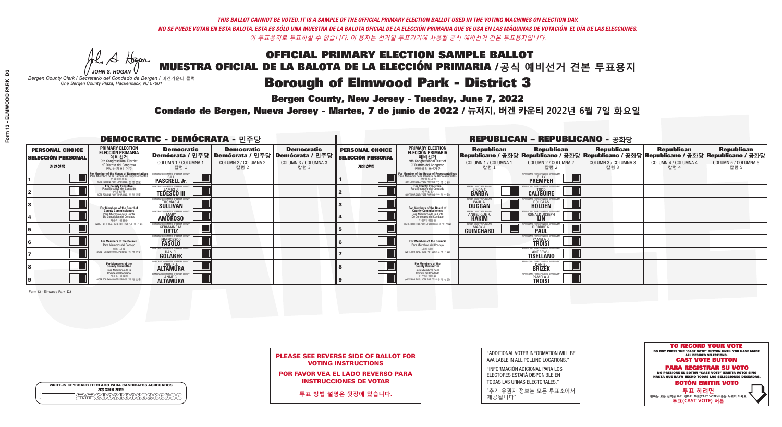**Bergen County, New Jersey - Tuesday, June 7, 2022** 

A Hogen *JOHN S. HOGAN*

| <b>WRITE-IN KEYBOARD /TECLADO PARA CANDIDATOS AGREGADOS</b><br>기명 투표용 키보드 |  |
|---------------------------------------------------------------------------|--|
| E A BOO DE DO BODO KI<br>MA BA BA SA MWA XI                               |  |

*Bergen County Clerk / Secretario del Condado de Bergen /* 버겐카운티 클럭 *One Bergen County Plaza, Hackensack, NJ 07601*



PLEASE SEE REVERSE SIDE OF BALLOT FOR VOTING INSTRUCTIONS

POR FAVOR VEA EL LADO REVERSO PARA INSTRUCCIONES DE VOTAR

**투표 방법 설명은 뒷장에 있습니다.**

"ADDITIONAL VOTER INFORMATION WILL BE AVAILABLE IN ALL POLLING LOCATIONS."

"INFORMACIÓN ADICIONAL PARA LOS ELECTORES ESTARÁ DISPONIBLE EN TODAS LAS URNAS ELECTORALES."

"추가 유권자 정보는 모든 투표소에서 제공됩니다"

Condado de Bergen, Nueva Jersey - Martes, 7 de junio de 2022 / 뉴저지, 버겐 카운티 2022년 6월 7일 화요일 *One Bergen County Plaza, Hackensack, NJ 07601*

|                                                             |                                                                                                                                               | <b>DEMOCRATIC - DEMÓCRATA - 민주당</b>                                |                                                   |                                                                                                        |                                                             |                                                                                                                                               |                                                           | <b>REPUBLICAN - REPUBLICANO - 공화당</b>                                                                                                                  |                                                   |                                                   |                                                   |
|-------------------------------------------------------------|-----------------------------------------------------------------------------------------------------------------------------------------------|--------------------------------------------------------------------|---------------------------------------------------|--------------------------------------------------------------------------------------------------------|-------------------------------------------------------------|-----------------------------------------------------------------------------------------------------------------------------------------------|-----------------------------------------------------------|--------------------------------------------------------------------------------------------------------------------------------------------------------|---------------------------------------------------|---------------------------------------------------|---------------------------------------------------|
| <b>PERSONAL CHOICE</b><br><b>SELECCIÓN PERSONAL</b><br>개인선택 | <b>PRIMARY ELECTION</b><br>ELECCIÓN PRIMARIA<br>예비선거<br><sup>9th</sup> Congressional District<br>9° Distrito del Congreso<br>연방하워 9선거구        | <b>Democratic</b><br>COLUMN 1 / COLUMNA 1<br>칼럼 1                  | <b>Democratic</b><br>COLUMN 2 / COLUMNA 2<br>칼럼 2 | <b>Democratic</b><br>│Demócrata / 민주당│Demócrata / 민주당│Demócrata / 민주당│<br>COLUMN 3 / COLUMNA 3<br>칼럼 3 | <b>PERSONAL CHOICE</b><br><b>SELECCIÓN PERSONAL</b><br>개인선택 | <b>PRIMARY ELECTION</b><br>ELECCIÓN PRIMARIA<br>9th Congressional District<br>9° Distrito del Congreso<br>연방하워 9선거구                           | <b>Republican</b><br>COLUMN 1 / COLUMNA 1<br>■칼럼 1        | <b>Republican</b><br>Republicano / 공화당 Republicano / 공화당 Republicano / 공화당 Republicano / 공화당 Republicano / 공화당<br>COLUMN 2 / COLUMNA 2<br><u> 캄럼 2</u> | <b>Republican</b><br>COLUMN 3 / COLUMNA 3<br>칼럼 3 | <b>Republican</b><br>COLUMN 4 / COLUMNA 4<br>칼럼 4 | <b>Republican</b><br>COLUMN 5 / COLUMNA 5<br>칼럼 5 |
|                                                             | For Member of the House of Representatives<br>Para Miembro de la Cámara de Representantes<br>연방하원의원<br>(VOTE FOR ONE / VOTE POR UNO / 한 명 선출) | <b>PASCRELL Jr.</b>                                                |                                                   |                                                                                                        |                                                             | For Member of the House of Representatives<br>Para Miembro de la Cámara de Representantes<br>연방하원의원<br>(VOTE FOR ONE / VOTE POR UNO / 한 명 선출) |                                                           | <b>PREMPEH</b>                                                                                                                                         |                                                   |                                                   |                                                   |
|                                                             | <b>For County Executive</b><br>Para Ejecutivo del Condado<br>가운티장<br>(VOTE FOR ONE / VOTE POR UNO / 한 명 선출)                                   | JEMOCRATIC COMMITTEE OF BERGEN COUNTY<br><b>TEDESCO III</b>        |                                                   |                                                                                                        |                                                             | For County Executive<br>Para Ejecutivo del Condado<br>. 카운티장<br>(VOTE FOR ONE / VOTE POR UNO / 한 명 선출)                                        | BERGEN COUNTY REPUBLICAN<br><b>LINDAT</b><br><b>BARBA</b> | <b>CALIGUIRE</b>                                                                                                                                       |                                                   |                                                   |                                                   |
|                                                             | For Members of the Board of<br>County Commissioners                                                                                           | MOCRATIC COMMITTEE OF BERGEN COUNT<br>THOMAS J.                    |                                                   |                                                                                                        |                                                             | For Members of the Board of<br>County Commissioners                                                                                           | ERGEN COUNTY REPUBLICA<br><b>PAUL A.</b><br><b>DUGGAN</b> | <b>DOUGLAS</b>                                                                                                                                         |                                                   |                                                   |                                                   |
|                                                             | Para Miembros de la Junta<br>De Concejales del Condado<br>카운티 위원들                                                                             | OCRATIC COMMITTEE OF BERGEN COUNT<br><b>MARY</b><br><b>AMÖROSO</b> |                                                   |                                                                                                        |                                                             | Para Miembros de la Junta<br>De Concejales del Condado<br>카운티 위원들                                                                             | ERGEN COUNTY REPUBLICAN<br>ANGELIQUE R.                   | VS ENR RESPNNSIRI E GNV<br>RONALD JOSEPH                                                                                                               |                                                   |                                                   |                                                   |
|                                                             | VOTE FOR THREE / VOTE POR TRES / 세 명 선출)                                                                                                      | RATIC COMMITTEE OF BERGEN COU<br><b>GERMAINE M.</b>                |                                                   |                                                                                                        |                                                             | NOTE FOR THREE / VOTE POR TRES / 세 명 선출)                                                                                                      | <b>ERGEN COUNTY REPUBLICANS</b><br>MARY.<br>GUINCHARD     | <b>FOR RESPONSIBLE</b><br><b>DIERDREL</b>                                                                                                              |                                                   |                                                   |                                                   |
|                                                             | For Members of the Council<br>Para Miembros del Conceio                                                                                       | MOCRATIC COMMITTEE OF BERGEN COUNT<br>FRANCESCO<br><b>FASOLO</b>   |                                                   |                                                                                                        |                                                             | For Members of the Council<br>Para Miembros del Concejo                                                                                       |                                                           | PAMELA J.                                                                                                                                              |                                                   |                                                   |                                                   |
|                                                             | 의회 의원<br>(VOTE FOR TWO / VOTE POR DOS / 두 명 선출)                                                                                               | )CRATIC COMMITTEE OF BERGEN COUN'<br><b>GOLABEK</b>                |                                                   |                                                                                                        |                                                             | 이히 이워<br>NOTE FOR TWO / VOTE POR DOS / 두 명 선출)                                                                                                |                                                           | PUBI ICANS FOR RESPONSIBI E GO<br><b>ANDREW J.</b><br>TISELLANO                                                                                        |                                                   |                                                   |                                                   |
|                                                             | For Members of the<br>County Committee<br>Para Miembros de la<br>Comité del Condado                                                           | <b>ALTAMURA</b>                                                    |                                                   |                                                                                                        |                                                             | For Members of the<br>County Committee<br>Para Miembros de la<br>Comité del Condado                                                           |                                                           | <b>DANIEL</b><br><b>BRIZEK</b>                                                                                                                         |                                                   |                                                   |                                                   |
|                                                             | 카운티 위원회<br>(VOTE FOR TWO / VOTE POR DOS / 두 명 선출)                                                                                             | ALTAMURA                                                           |                                                   |                                                                                                        |                                                             | 카운티 위원회<br>(VOTE FOR TWO / VOTE POR DOS / 두 명 선출)                                                                                             |                                                           | PUBLICANS FOR RESPONSIBLE (<br>PAMELA J.<br><b>TROISI</b>                                                                                              |                                                   |                                                   |                                                   |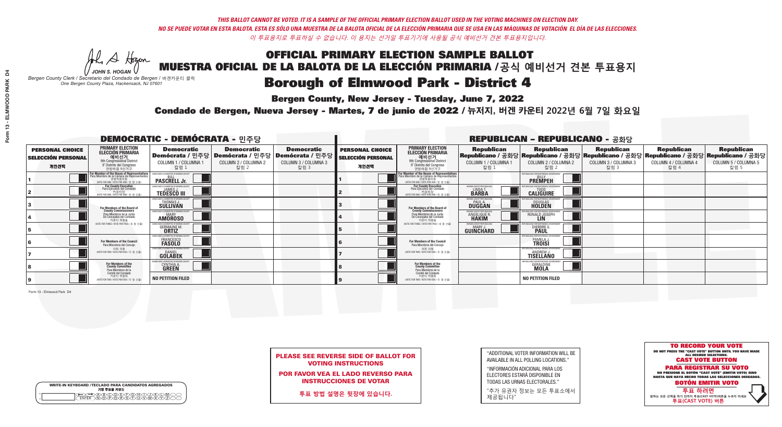**Bergen County, New Jersey - Tuesday, June 7, 2022** 

A Hogen *JOHN S. HOGAN*

| <b>WRITE-IN KEYBOARD /TECLADO PARA CANDIDATOS AGREGADOS</b><br>기명 투표용 키보드 |
|---------------------------------------------------------------------------|
|                                                                           |

*Bergen County Clerk / Secretario del Condado de Bergen /* 버겐카운티 클럭 *One Bergen County Plaza, Hackensack, NJ 07601*



PLEASE SEE REVERSE SIDE OF BALLOT FOR VOTING INSTRUCTIONS

POR FAVOR VEA EL LADO REVERSO PARA INSTRUCCIONES DE VOTAR

**투표 방법 설명은 뒷장에 있습니다.**

| "ADDITIONAL VOTER INFORMATION WILL BE |
|---------------------------------------|
| AVAILABLE IN ALL POLLING LOCATIONS."  |

"INFORMACIÓN ADICIONAL PARA LOS ELECTORES ESTARÁ DISPONIBLE EN TODAS LAS URNAS ELECTORALES."

"추가 유권자 정보는 모든 투표소에서 제공됩니다"

Condado de Bergen, Nueva Jersey - Martes, 7 de junio de 2022 / 뉴저지, 버겐 카운티 2022년 6월 7일 화요일 *One Bergen County Plaza, Hackensack, NJ 07601*

| <b>DEMOCRATIC - DEMÓCRATA - 민주당</b>                         |                                                                                                                                               |                                                                                    |                                                   |                                                                                                        |                                                             |                                                                                                                                               |                                                                | <b>REPUBLICAN - REPUBLICANO - 공화당</b>                                                                                                          |                                                   |                                                   |                                                   |
|-------------------------------------------------------------|-----------------------------------------------------------------------------------------------------------------------------------------------|------------------------------------------------------------------------------------|---------------------------------------------------|--------------------------------------------------------------------------------------------------------|-------------------------------------------------------------|-----------------------------------------------------------------------------------------------------------------------------------------------|----------------------------------------------------------------|------------------------------------------------------------------------------------------------------------------------------------------------|---------------------------------------------------|---------------------------------------------------|---------------------------------------------------|
| <b>PERSONAL CHOICE</b><br><b>SELECCIÓN PERSONAL</b><br>개인선택 | <b>PRIMARY ELECTION</b><br><b>ELECCIÓN PRIMARIA</b><br>예비선거<br><sup>9th</sup> Congressional District<br>9° Distrito del Congreso<br>연방하원 9선거구 | <b>Democratic</b><br>COLUMN 1 / COLUMNA 1<br>칼럼 1                                  | <b>Democratic</b><br>COLUMN 2 / COLUMNA 2<br>칼럼 2 | <b>Democratic</b><br>│Demócrata / 민주당│Demócrata / 민주당│Demócrata / 민주당│<br>COLUMN 3 / COLUMNA 3<br>칼럼 3 | <b>PERSONAL CHOICE</b><br><b>SELECCIÓN PERSONAL</b><br>개인선택 | <b>PRIMARY ELECTION</b><br>ELECCIÓN PRIMARIA<br>예비선거<br>9th Congressional District<br>9° Distrito del Congreso<br>연방하원 9선거구                   | <b>Republican</b><br>COLUMN 1 / COLUMNA 1<br>칼럼 :              | <b>Republican</b><br>Republicano / 공화당 Republicano / 공화당 Republicano / 공화당 Republicano / 공화당 Republicano / 공화당<br>COLUMN 2 / COLUMNA 2<br>칼럼 2 | <b>Republican</b><br>COLUMN 3 / COLUMNA 3<br>칼럼 3 | <b>Republican</b><br>COLUMN 4 / COLUMNA 4<br>칼럼 4 | <b>Republican</b><br>COLUMN 5 / COLUMNA 5<br>칼럼 5 |
|                                                             | or Member of the House of Representatives<br>ara Miembro de la Cámara de Representantes<br>연방하원의원<br>WOTE FOR ONE / VOTE POR UNO / 한 명 선출     | DEMOCRATIC COMMITTEE OF BERGEN COUNT<br><b>PASCRELL Jr.</b>                        |                                                   |                                                                                                        |                                                             | For Member of the House of Representatives<br>Para Miembro de la Cámara de Representantes<br>연방하원의원<br>(VOTE FOR ONE / VOTE POR UNO / 한 명 선출) |                                                                | PUBLICANS FOR RESPONSIBLE GOVERNMEN<br><b>PREMPEH</b>                                                                                          |                                                   |                                                   |                                                   |
|                                                             | <b>For County Executive</b><br>Para Ejecutivo del Condado<br>가운티장 - 카운티장<br>(VOTE FOR ONE / VOTE POR UNO / 한 명 선출)                            | )EMOCRATIC COMMITTEE OF BERGEN COUNT<br><b>TEDESCO III</b>                         |                                                   |                                                                                                        |                                                             | For County Executive<br>Para Ejecutivo del Condado<br>WOTE FOR ONE / VOTE POR UNO / 한 명 선출)                                                   | ERGEN COUNTY REPUBLICAN<br>LINDA T.                            | <b>CALIGUIRE</b>                                                                                                                               |                                                   |                                                   |                                                   |
|                                                             | For Members of the Board of<br>County Commissioners                                                                                           | MOCRATIC COMMITTEE OF BERGEN COUNTY<br>THOMAS J.                                   |                                                   |                                                                                                        |                                                             | For Members of the Board of<br>County Commissioners                                                                                           | ERGEN COUNTY REPUBLICAN<br><b>PAUL A.</b><br><b>DUGGAN</b>     | <b>DOUGLAS</b>                                                                                                                                 |                                                   |                                                   |                                                   |
|                                                             | Para Miembros de la Junta<br>De Concejales del Condado<br>카우티 위원들                                                                             | <b><i>MOCRATIC COMMITTEE OF BERGEN COUNTY</i></b><br><b>MARY</b><br><b>AMOROSO</b> |                                                   |                                                                                                        |                                                             | Para Miembros de la Junta<br>De Concejales del Condado<br>카우티 위원들                                                                             | <b>ERGEN COUNTY REPUBLICAN</b><br><b>ANGELIQUE R<br/>HAKIM</b> | RONALD JOSEPH                                                                                                                                  |                                                   |                                                   |                                                   |
|                                                             | NOTE FOR THREE / VOTE POR TRES / 세 명 선출)                                                                                                      | RATIC COMMITTEE OF BERGEN COUN'<br><b>GERMAINE M.</b>                              |                                                   |                                                                                                        |                                                             | (VOTE FOR THREE / VOTE POR TRES / 세 명 선출)                                                                                                     | <b>ERGEN COUNTY REPUBLICANS</b><br>MARY J<br>GUINCHARD         | <b>DIERDRE</b>                                                                                                                                 |                                                   |                                                   |                                                   |
|                                                             | For Members of the Council<br>Para Miembros del Conceio                                                                                       | CRATIC COMMITTEE OF BERGEN CO<br>FRANCESCO<br><b>FASOLO</b>                        |                                                   |                                                                                                        |                                                             | <b>For Members of the Council</b><br>Para Miembros del Conceio                                                                                |                                                                | FOR RESPONSIBI E G<br>PAMELA J.                                                                                                                |                                                   |                                                   |                                                   |
|                                                             | 의회 의원<br>(VOTE FOR TWO / VOTE POR DOS / 두 명 선출)                                                                                               | MOCRATIC COMMITTEE OF BERGEN COUNT<br><b>GOLABEK</b>                               |                                                   |                                                                                                        |                                                             | 의회 의원<br>NOTE FOR TWO / VOTE POR DOS / 두 명 선출)                                                                                                |                                                                | PUBLICANS FOR RESPONSIBLE GOVERNMEN<br><b>TISELLÄNO</b>                                                                                        |                                                   |                                                   |                                                   |
|                                                             | For Members of the<br>County Committee<br>Para Miembros de la                                                                                 | <b>CYNTHIA A.</b>                                                                  |                                                   |                                                                                                        |                                                             | For Members of the<br>County Committee<br>Para Miembros de la<br>Comité del Condado                                                           |                                                                | <b>GERALDINE</b>                                                                                                                               |                                                   |                                                   |                                                   |
|                                                             | Comité del Condado<br>카운티 위원회<br>NOTE FOR TWO / VOTE POR DOS / 두 명 선출)                                                                        | <b>NO PETITION FILED</b>                                                           |                                                   |                                                                                                        |                                                             | 카운티 위원회<br>NOTE FOR TWO / VOTE POR DOS / 두 명 선출)                                                                                              |                                                                | <b>NO PETITION FILED</b>                                                                                                                       |                                                   |                                                   |                                                   |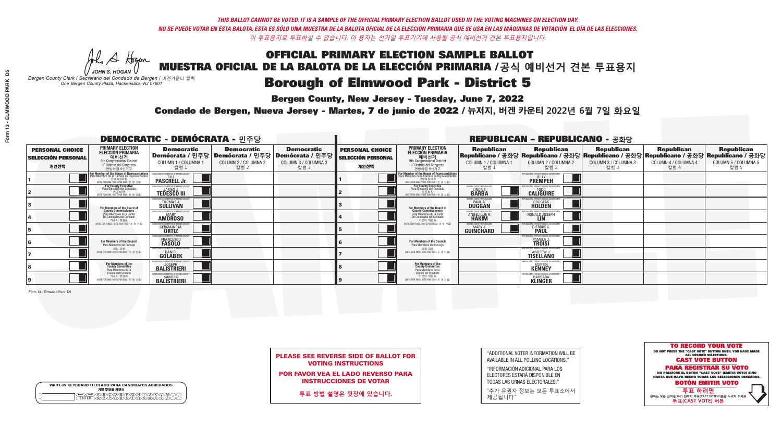**Bergen County, New Jersey - Tuesday, June 7, 2022** 

A Hogen *JOHN S. HOGAN*

|   | <b>WRITE-IN KEYBOARD /TECLADO PARA CANDIDATOS AGREGADOS</b><br>기명 투표용 키보드 |
|---|---------------------------------------------------------------------------|
| o | .)B)C)DE)F)G)H)                                                           |
| o | <u>እጅአል አል</u>                                                            |

*Bergen County Clerk / Secretario del Condado de Bergen /* 버겐카운티 클럭 *One Bergen County Plaza, Hackensack, NJ 07601*



PLEASE SEE REVERSE SIDE OF BALLOT FOR VOTING INSTRUCTIONS

POR FAVOR VEA EL LADO REVERSO PARA INSTRUCCIONES DE VOTAR

**투표 방법 설명은 뒷장에 있습니다.**

"ADDITIONAL VOTER INFORMATION WILL BE AVAILABLE IN ALL POLLING LOCATIONS."

"INFORMACIÓN ADICIONAL PARA LOS ELECTORES ESTARÁ DISPONIBLE EN TODAS LAS URNAS ELECTORALES."

"추가 유권자 정보는 모든 투표소에서 제공됩니다"

Condado de Bergen, Nueva Jersey - Martes, 7 de junio de 2022 / 뉴저지, 버겐 카운티 2022년 6월 7일 화요일 *One Bergen County Plaza, Hackensack, NJ 07601*

| <b>DEMOCRATIC - DEMÓCRATA - 민주당</b>                         |                                                                                                                                               |                                                                       |                                                   |                                                                                                        |                                                             |                                                                                                                                              |                                                            | <b>REPUBLICAN - REPUBLICANO - 공화당</b>                                                                                                            |                                                   |                                                   |                                                   |
|-------------------------------------------------------------|-----------------------------------------------------------------------------------------------------------------------------------------------|-----------------------------------------------------------------------|---------------------------------------------------|--------------------------------------------------------------------------------------------------------|-------------------------------------------------------------|----------------------------------------------------------------------------------------------------------------------------------------------|------------------------------------------------------------|--------------------------------------------------------------------------------------------------------------------------------------------------|---------------------------------------------------|---------------------------------------------------|---------------------------------------------------|
| <b>PERSONAL CHOICE</b><br><b>SELECCIÓN PERSONAL</b><br>개인선택 | <b>PRIMARY ELECTION</b><br>ELECCIÓN PRIMARIA<br>예비선거<br><sup>9th</sup> Congressional District<br>9° Distrito del Congreso<br>연방하원 9선거구        | <b>Democratic</b><br>COLUMN 1 / COLUMNA 1<br>칼럼 1                     | <b>Democratic</b><br>COLUMN 2 / COLUMNA 2<br>칼럼 2 | <b>Democratic</b><br>│Demócrata / 민주당│Demócrata / 민주당│Demócrata / 민주당│<br>COLUMN 3 / COLUMNA 3<br>칼럼 3 | <b>PERSONAL CHOICE</b><br><b>SELECCIÓN PERSONAL</b><br>개인선택 | <b>PRIMARY ELECTION</b><br>ELECCIÓN PRIMARIA<br>예비선거<br><sup>9th</sup> Congressional District<br>9° Distrito del Congreso<br>연방하원 9선거구       | <b>Republican</b><br>COLUMN 1 / COLUMNA 1<br>_ 칼럼 1        | <b>Republican</b><br>Republicano / 공화당 Republicano / 공화당 Republicano / 공화당 Republicano / 공화당 Republicano / 공화당<br>COLUMN 2 / COLUMNA 2<br>_ 칼럼 2 | <b>Republican</b><br>COLUMN 3 / COLUMNA 3<br>칼럼 3 | <b>Republican</b><br>COLUMN 4 / COLUMNA 4<br>칼럼 4 | <b>Republican</b><br>COLUMN 5 / COLUMNA 5<br>칼럼 5 |
|                                                             | For Member of the House of Representatives<br>Para Miembro de la Cámara de Representantes<br>연방하원의원<br>(VOTE FOR ONE / VOTE POR UNO / 한 명 선출) | DEMOCRATIC COMMITTEE OF BERGEN COUNT<br><b>PASCRELL Jr.</b>           |                                                   |                                                                                                        |                                                             | For Member of the House of Representatives<br>Para Miembro de la Cámara de Representantes<br>연방하원의원<br>(VOTE FOR ONE / VOTE POR UNO / 한 명 선출 |                                                            | PUBLICANS FOR RESPONSIBLE GOVERNMEN<br><b>PREMPEH</b>                                                                                            |                                                   |                                                   |                                                   |
|                                                             | <b>For County Executive</b><br>Para Ejecutivo del Condado<br>가운티장<br>(VOTE FOR ONE / VOTE POR UNO / 한 명 선출)                                   | JEMOCRATIC COMMITTEE OF BERGEN COUNTY<br><b>TEDESCO III</b>           |                                                   |                                                                                                        |                                                             | For County Executive<br>Para Ejecutivo del Condado<br>7) 카운티장<br>(VOTE FOR ONE / VOTE POR UNO / 한 명 선출)                                      | BERGEN COUNTY REPUBLICAN<br>LINDAT.                        | <b>CALIGUIRE</b>                                                                                                                                 |                                                   |                                                   |                                                   |
|                                                             | For Members of the Board of<br>County Commissioners                                                                                           | MOCRATIC COMMITTEE OF BERGEN COUN<br>THOMAS J.                        |                                                   |                                                                                                        |                                                             | For Members of the Board of<br>County Commissioners                                                                                          | ERGEN COUNTY REPUBLICAN<br><b>PAUL A.</b><br><b>DUGGAN</b> | DOUGLAS<br>HOLDEN                                                                                                                                |                                                   |                                                   |                                                   |
|                                                             | Para Miembros de la Junta<br>De Concejales del Condado<br>카우티 위원들                                                                             | MOCRATIC COMMITTEE OF BERGEN COUNT<br><b>MARY</b><br><b>AMOROSO</b>   |                                                   |                                                                                                        |                                                             | Para Miembros de la Junta<br>De Concejales del Condado<br>카우티 위원들                                                                            | ERGEN COUNTY REPUBLICAN<br><b>ANGELIQUE R.</b>             | VS ENR RESPONSIRI E GOVE<br>RONALD JOSEPH                                                                                                        |                                                   |                                                   |                                                   |
|                                                             | NOTE FOR THREE / VOTE POR TRES / 세 명 선출)                                                                                                      | RATIC COMMITTEE OF BERGEN COUNT<br><b>GERMAINE M.</b><br><b>ORTIZ</b> |                                                   |                                                                                                        |                                                             | NOTE FOR THREE / VOTE POR TRES / 세 명 선출)                                                                                                     | <b>ERGEN COUNTY REPUBLICANS</b><br>MARY.<br>GUINCHARD      | <b>DIERDRE</b>                                                                                                                                   |                                                   |                                                   |                                                   |
|                                                             | For Members of the Council<br>Para Miembros del Concejo                                                                                       | MOCRATIC COMMITTEE OF BERGEN COUNT<br>FRANCESCO<br><b>FASOLO</b>      |                                                   |                                                                                                        |                                                             | For Members of the Council<br>Para Miembros del Concejo                                                                                      |                                                            | PAMELA J.                                                                                                                                        |                                                   |                                                   |                                                   |
|                                                             | 의회 의원<br>(VOTE FOR TWO / VOTE POR DOS / 두 명 선출)                                                                                               | IOCRATIC COMMITTEE OF BERGEN COUNT<br><b>GOLABEK</b>                  |                                                   |                                                                                                        |                                                             | 의회 의원<br>(VOTE FOR TWO / VOTE POR DOS / 두 명 선출)                                                                                              |                                                            | EPUBLICANS FOR RESPONSIBLE GO<br><b>ANDREW J.</b><br>TISELLANO                                                                                   |                                                   |                                                   |                                                   |
|                                                             | For Members of the<br>County Committee<br>Para Miembros de la<br>Comité del Condado                                                           | <b>BALISTRIERI</b>                                                    |                                                   |                                                                                                        |                                                             | For Members of the<br>County Committee<br>Para Miembros de la<br>Comité del Condado                                                          |                                                            | FPUBLICANS FOR RESPONSIBLE GOVERNMEN<br><b>KENNEY</b>                                                                                            |                                                   |                                                   |                                                   |
|                                                             | 카운티 위원회<br>(VOTE FOR TWO / VOTE POR DOS / 두 명 선출)                                                                                             | EMOCRATIC COMMITTEE OF RERGEN COUNT<br><b>BALISTRIERI</b>             |                                                   |                                                                                                        |                                                             | 카운티 위원회<br>(VOTE FOR TWO / VOTE POR DOS / 두 명 선출)                                                                                            |                                                            | EPUBLICANS FOR RESPONSIBLE GO'<br><b>BARBARA</b><br>KLINGER                                                                                      |                                                   |                                                   |                                                   |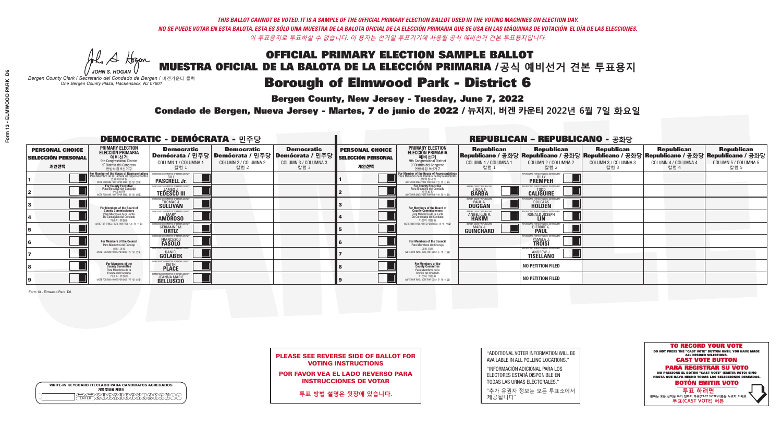**Bergen County, New Jersey - Tuesday, June 7, 2022** 

A Hogen *JOHN S. HOGAN*

| <b>WRITE-IN KEYBOARD /TECLADO PARA CANDIDATOS AGREGADOS</b><br>기명 투표용 키보드 |  |
|---------------------------------------------------------------------------|--|
| (A)B)C)D)E)(F)(G)(H)(T)(T)(<br>o<br>心面有心的<br>o                            |  |

*Bergen County Clerk / Secretario del Condado de Bergen /* 버겐카운티 클럭 *One Bergen County Plaza, Hackensack, NJ 07601*



PLEASE SEE REVERSE SIDE OF BALLOT FOR VOTING INSTRUCTIONS

POR FAVOR VEA EL LADO REVERSO PARA INSTRUCCIONES DE VOTAR

**투표 방법 설명은 뒷장에 있습니다.**

| "ADDITIONAL VOTER INFORMATION WILL BE |
|---------------------------------------|
| AVAILABLE IN ALL POLLING LOCATIONS."  |

"INFORMACIÓN ADICIONAL PARA LOS ELECTORES ESTARÁ DISPONIBLE EN TODAS LAS URNAS ELECTORALES."

"추가 유권자 정보는 모든 투표소에서 제공됩니다"

Condado de Bergen, Nueva Jersey - Martes, 7 de junio de 2022 / 뉴저지, 버겐 카운티 2022년 6월 7일 화요일 *One Bergen County Plaza, Hackensack, NJ 07601*

|                                                             |                                                                                                                                                      |                                                                     |                                                   | <b>REPUBLICAN - REPUBLICANO - 공화당</b>                                                                  |                                                             |                                                                                                                                    |                                                            |                                                                                                                                                |                                                   |                                                   |                                                   |
|-------------------------------------------------------------|------------------------------------------------------------------------------------------------------------------------------------------------------|---------------------------------------------------------------------|---------------------------------------------------|--------------------------------------------------------------------------------------------------------|-------------------------------------------------------------|------------------------------------------------------------------------------------------------------------------------------------|------------------------------------------------------------|------------------------------------------------------------------------------------------------------------------------------------------------|---------------------------------------------------|---------------------------------------------------|---------------------------------------------------|
| <b>PERSONAL CHOICE</b><br><b>SELECCIÓN PERSONAL</b><br>개인선택 | <b>PRIMARY ELECTION</b><br><b>ELECCIÓN PRIMARIA</b><br>예비선거<br>애비선거<br>9° Distrito del Congreso<br>연방하원 9선거구                                         | <b>Democratic</b><br>COLUMN 1 / COLUMNA 1<br>칼럼 1                   | <b>Democratic</b><br>COLUMN 2 / COLUMNA 2<br>칼럼 2 | <b>Democratic</b><br>│Demócrata / 민주당│Demócrata / 민주당│Demócrata / 민주당│<br>COLUMN 3 / COLUMNA 3<br>칼럼 3 | <b>PERSONAL CHOICE</b><br><b>SELECCIÓN PERSONAL</b><br>개인선택 | <b>PRIMARY ELECTION</b><br>ELECCIÓN PRIMARIA<br>9th Congressional District<br>9° Distrito del Congreso<br>연방하원 9선거구                | <b>Republican</b><br>COLUMN 1 / COLUMNA 1<br>칼럼 1          | <b>Republican</b><br>Republicano / 공화당 Republicano / 공화당 Republicano / 공화당 Republicano / 공화당 Republicano / 공화당<br>COLUMN 2 / COLUMNA 2<br>칼럼 2 | <b>Republican</b><br>COLUMN 3 / COLUMNA 3<br>칼럼 3 | <b>Republican</b><br>COLUMN 4 / COLUMNA 4<br>칼럼 4 | <b>Republican</b><br>COLUMN 5 / COLUMNA 5<br>칼럼 5 |
|                                                             | <b>For Member of the House of Representatives</b><br>Para Miembro de la Cámara de Representantes<br>연방하원의원<br>(VOTE FOR ONE / VOTE POR UNO / 한 명 선출) | <b>PASCRELL Jr.</b>                                                 |                                                   |                                                                                                        |                                                             | For Member of the House of Representatives<br>Para Miembro de la Cámara de Representantes<br>(VOTE FOR ONE / VOTE POR UNO / 한 명 선출 |                                                            | PUBLICANS FOR RESPONSIBLE GOVERNMEN<br><b>PREMPEH</b>                                                                                          |                                                   |                                                   |                                                   |
|                                                             | For County Executive<br>Para Ejecutivo del Condado<br>기운티장<br>(VOTE FOR ONE / VOTE POR UNO / 한 명 선출)                                                 | )EMOCRATIC COMMITTEE OF BERGEN COUNT<br><b>TEDESCO III</b>          |                                                   |                                                                                                        |                                                             | For County Executive<br>Para Ejecutivo del Condado<br>카운티장<br>(WOTE FOR ONE / VOTE POR UNO / 한 명 선출)                               | BERGEN COUNTY REPUBLICAN<br><b>LINDAT</b><br><b>BARBA</b>  | <b>CALIGUIRE</b>                                                                                                                               |                                                   |                                                   |                                                   |
|                                                             | For Members of the Board of<br>County Commissioners                                                                                                  | MOCRATIC COMMITTEE OF BERGEN COUNTY<br>THOMAS J.                    |                                                   |                                                                                                        |                                                             | For Members of the Board of<br>County Commissioners                                                                                | ERGEN COUNTY REPUBLICAN<br><b>PAUL A.</b><br><b>DUGGAN</b> | <b>DOUGLAS</b>                                                                                                                                 |                                                   |                                                   |                                                   |
|                                                             | Para Miembros de la Junta<br>De Concejales del Condado<br>카운티 위원들                                                                                    | OCRATIC COMMITTEE OF BERGEN COUNTY<br><b>MARY</b><br><b>AMOROSO</b> |                                                   |                                                                                                        |                                                             | Para Miembros de la Junta<br>De Concejales del Condado<br>카우티 위원들                                                                  | <b>ERGEN COUNTY REPUBLICAN</b><br><b>ANGELIQUE R</b>       | RONALD JOSEPH                                                                                                                                  |                                                   |                                                   |                                                   |
|                                                             | NOTF FOR THREE / VOTE POR TRES / 세 명 선출)                                                                                                             | RATIC COMMITTEE OF BERGEN COUN<br><b>GERMAINE M.</b>                |                                                   |                                                                                                        |                                                             | (VOTE FOR THREE / VOTE POR TRES / 세 명 선출)                                                                                          | ERGEN COUNTY REPUBLICANS<br><b>MARY J</b><br>GUINCHARD     | <b>DIERDRE G</b><br><b>PAUL</b>                                                                                                                |                                                   |                                                   |                                                   |
|                                                             | For Members of the Council<br>Para Miembros del Conceio                                                                                              | CRATIC COMMITTEE OF BERGEN COUNT<br>FRANCESCO<br><b>FASOLO</b>      |                                                   |                                                                                                        |                                                             | For Members of the Council<br>Para Miembros del Conceio                                                                            |                                                            | OR RESPONSIBLE GO<br>PAMELA J.                                                                                                                 |                                                   |                                                   |                                                   |
|                                                             | 의회 의원<br>(VOTE FOR TWO / VOTE POR DOS / 두 명 선출)                                                                                                      | MOCRATIC COMMITTEE OF BERGEN COUNT<br><b>GOLABEK</b>                |                                                   |                                                                                                        |                                                             | 의회 의원<br>NOTE FOR TWO / VOTE POR DOS / 두 명 선출)                                                                                     |                                                            | PUBLICANS FOR RESPONSIBLE GOVERNMENT<br><b>ANDREW J.</b><br>TISELLANO                                                                          |                                                   |                                                   |                                                   |
|                                                             | For Members of the<br>County Committee<br>Para Miembros de la                                                                                        | <b>PLACE</b>                                                        |                                                   |                                                                                                        |                                                             | For Members of the<br>County Committee<br>Para Miembros de la<br>Comité del Condado                                                |                                                            | <b>NO PETITION FILED</b>                                                                                                                       |                                                   |                                                   |                                                   |
|                                                             | Comité del Condado<br>카운티 위원회<br>(VOTE FOR TWO / VOTE POR DOS / 두 명 선출)                                                                              | EMOCRATIC COMMITTEE OF RERGEN CO<br><b>JEANNA MARIE</b>             |                                                   |                                                                                                        |                                                             | 카운티 위원회<br>NOTE FOR TWO / VOTE POR DOS / 두 명 선출)                                                                                   |                                                            | <b>NO PETITION FILED</b>                                                                                                                       |                                                   |                                                   |                                                   |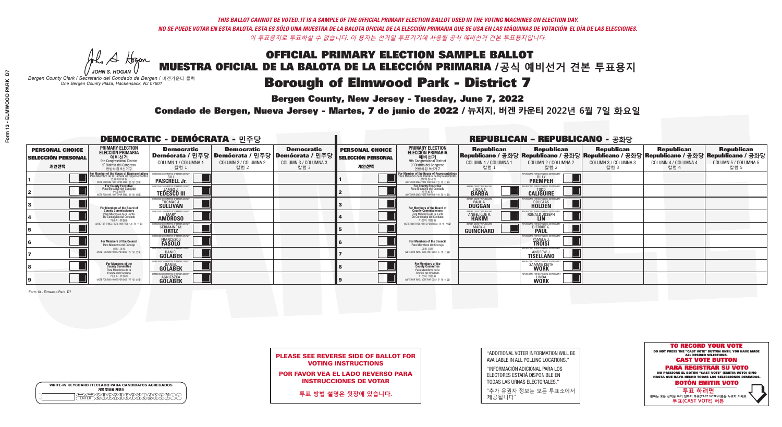**Bergen County, New Jersey - Tuesday, June 7, 2022** 

A Hogen *JOHN S. HOGAN*

| <b>WRITE-IN KEYBOARD /TECLADO PARA CANDIDATOS AGREGADOS</b><br>기명 투표용 키보드 |  |
|---------------------------------------------------------------------------|--|
| E A BOO DE DO BODO KI<br>MA BA BA SA MWA XI                               |  |

*Bergen County Clerk / Secretario del Condado de Bergen /* 버겐카운티 클럭 *One Bergen County Plaza, Hackensack, NJ 07601*



PLEASE SEE REVERSE SIDE OF BALLOT FOR VOTING INSTRUCTIONS

POR FAVOR VEA EL LADO REVERSO PARA INSTRUCCIONES DE VOTAR

**투표 방법 설명은 뒷장에 있습니다.**

"ADDITIONAL VOTER INFORMATION WILL BE AVAILABLE IN ALL POLLING LOCATIONS."

"INFORMACIÓN ADICIONAL PARA LOS ELECTORES ESTARÁ DISPONIBLE EN TODAS LAS URNAS ELECTORALES."

"추가 유권자 정보는 모든 투표소에서 제공됩니다"

Condado de Bergen, Nueva Jersey - Martes, 7 de junio de 2022 / 뉴저지, 버겐 카운티 2022년 6월 7일 화요일 *One Bergen County Plaza, Hackensack, NJ 07601*

|                                                             |                                                                                                                                               |                                                                          |                                                   | <b>REPUBLICAN - REPUBLICANO - 공화당</b>                                                                  |                                                             |                                                                                                                                               |                                                           |                                                                                                                                                        |                                                   |                                                   |                                                   |
|-------------------------------------------------------------|-----------------------------------------------------------------------------------------------------------------------------------------------|--------------------------------------------------------------------------|---------------------------------------------------|--------------------------------------------------------------------------------------------------------|-------------------------------------------------------------|-----------------------------------------------------------------------------------------------------------------------------------------------|-----------------------------------------------------------|--------------------------------------------------------------------------------------------------------------------------------------------------------|---------------------------------------------------|---------------------------------------------------|---------------------------------------------------|
| <b>PERSONAL CHOICE</b><br><b>SELECCIÓN PERSONAL</b><br>개인선택 | <b>PRIMARY ELECTION</b><br>ELECCIÓN PRIMARIA<br>예비선거<br><sup>9th</sup> Congressional District<br>9° Distrito del Congreso<br>연방하워 9선거구        | <b>Democratic</b><br>COLUMN 1 / COLUMNA 1<br>칼럼 1                        | <b>Democratic</b><br>COLUMN 2 / COLUMNA 2<br>칼럼 2 | <b>Democratic</b><br>│Demócrata / 민주당│Demócrata / 민주당│Demócrata / 민주당│<br>COLUMN 3 / COLUMNA 3<br>칼럼 3 | <b>PERSONAL CHOICE</b><br><b>SELECCIÓN PERSONAL</b><br>개인선택 | <b>PRIMARY ELECTION</b><br>ELECCIÓN PRIMARIA<br>9th Congressional District<br>9° Distrito del Congreso<br>연방하워 9선거구                           | <b>Republican</b><br>COLUMN 1 / COLUMNA 1<br>■칼럼 1        | <b>Republican</b><br>Republicano / 공화당 Republicano / 공화당 Republicano / 공화당 Republicano / 공화당 Republicano / 공화당<br>COLUMN 2 / COLUMNA 2<br><u> 캄럼 2</u> | <b>Republican</b><br>COLUMN 3 / COLUMNA 3<br>칼럼 3 | <b>Republican</b><br>COLUMN 4 / COLUMNA 4<br>칼럼 4 | <b>Republican</b><br>COLUMN 5 / COLUMNA 5<br>칼럼 5 |
|                                                             | For Member of the House of Representatives<br>Para Miembro de la Cámara de Representantes<br>연방하원의원<br>(VOTE FOR ONE / VOTE POR UNO / 한 명 선출) | <b>PASCRELL Jr.</b>                                                      |                                                   |                                                                                                        |                                                             | For Member of the House of Representatives<br>Para Miembro de la Cámara de Representantes<br>연방하원의원<br>(VOTE FOR ONE / VOTE POR UNO / 한 명 선출) |                                                           | <b>PREMPEH</b>                                                                                                                                         |                                                   |                                                   |                                                   |
|                                                             | <b>For County Executive</b><br>Para Ejecutivo del Condado<br>가운티장<br>(VOTE FOR ONE / VOTE POR UNO / 한 명 선출)                                   | )EMOCRATIC COMMITTEE OF BERGEN COUNTY<br><b>TEDESCO III</b>              |                                                   |                                                                                                        |                                                             | For County Executive<br>Para Ejecutivo del Condado<br>. 카운티장<br>(VOTE FOR ONE / VOTE POR UNO / 한 명 선출)                                        | BERGEN COUNTY REPUBLICAN<br><b>LINDAT</b><br><b>BARBA</b> | <b>CALIGUIRE</b>                                                                                                                                       |                                                   |                                                   |                                                   |
|                                                             | For Members of the Board of<br>County Commissioners                                                                                           | MOCRATIC COMMITTEE OF BERGEN COUNT<br>THOMAS J.                          |                                                   |                                                                                                        |                                                             | For Members of the Board of<br>County Commissioners                                                                                           | ERGEN COUNTY REPUBLICA<br><b>PAUL A.</b><br><b>DUGGAN</b> | <b>DOUGLAS</b>                                                                                                                                         |                                                   |                                                   |                                                   |
|                                                             | Para Miembros de la Junta<br>De Concejales del Condado<br>카운티 위원들                                                                             | OCRATIC COMMITTEE OF BERGEN COUNT<br><b>MARY</b><br><b>AMÖROSO</b>       |                                                   |                                                                                                        |                                                             | Para Miembros de la Junta<br>De Concejales del Condado<br>카운티 위원들                                                                             | ERGEN COUNTY REPUBLICAN<br>ANGELIQUE R.                   | VS ENR RESPNNSIRI E GNV<br>RONALD JOSEPH                                                                                                               |                                                   |                                                   |                                                   |
|                                                             | VOTE FOR THREE / VOTE POR TRES / 세 명 선출)                                                                                                      | RATIC COMMITTEE OF BERGEN COU<br><b>GERMAINE M.</b>                      |                                                   |                                                                                                        |                                                             | NOTE FOR THREE / VOTE POR TRES / 세 명 선출)                                                                                                      | <b>ERGEN COUNTY REPUBLICANS</b><br>MARY.<br>GUINCHARD     | <b>FOR RESPONSIBLE</b><br><b>DIERDREL</b>                                                                                                              |                                                   |                                                   |                                                   |
|                                                             | For Members of the Council<br>Para Miembros del Conceio                                                                                       | MOCRATIC COMMITTEE OF BERGEN COUNT<br>FRANCESCO<br><b>FASOLO</b>         |                                                   |                                                                                                        |                                                             | <b>For Members of the Council</b><br>Para Miembros del Concejo                                                                                |                                                           | PAMELA J.                                                                                                                                              |                                                   |                                                   |                                                   |
|                                                             | 의회 의원<br>NOTE FOR TWO / VOTE POR DOS / 두 명 선출)                                                                                                | )CRATIC COMMITTEE OF BERGEN COUN'<br><b>GOLABEK</b>                      |                                                   |                                                                                                        |                                                             | 이히 이워<br>NOTE FOR TWO / VOTE POR DOS / 두 명 선출)                                                                                                |                                                           | PUBI ICANS FOR RESPONSIBI E GO<br><b>ANDREW J.</b><br>TISELLANO                                                                                        |                                                   |                                                   |                                                   |
|                                                             | For Members of the<br>County Committee<br>Para Miembros de la                                                                                 | <b>GOLABEK</b>                                                           |                                                   |                                                                                                        |                                                             | For Members of the<br>County Committee<br>Para Miembros de la<br>Comité del Condado                                                           |                                                           | SAMMIE KEITH                                                                                                                                           |                                                   |                                                   |                                                   |
|                                                             | Comité del Condado<br>카운티 위원회<br>(VOTE FOR TWO / VOTE POR DOS / 두 명 선출)                                                                       | EMOCRATIC COMMITTEE OF RERGEN COLL<br><b>AGNIESZKA</b><br><b>GOLABEK</b> |                                                   |                                                                                                        |                                                             | 카운티 위원회<br>(VOTE FOR TWO / VOTE POR DOS / 두 명 선출)                                                                                             |                                                           | EPUBLICANS FOR RESPONSIBLE GO<br><b>LINDA</b><br>WORK                                                                                                  |                                                   |                                                   |                                                   |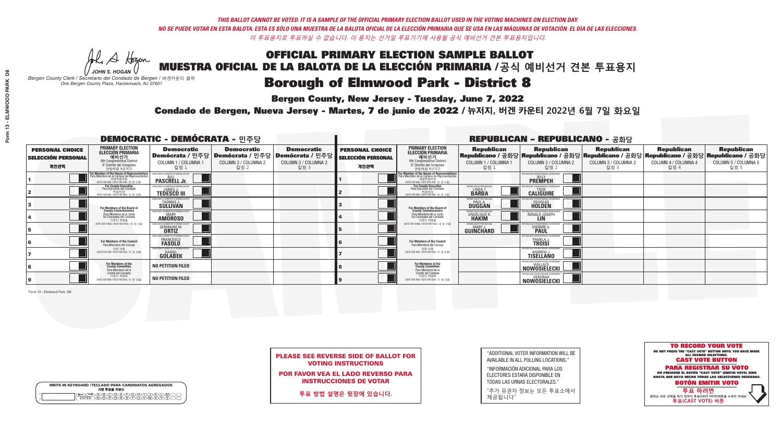**Bergen County, New Jersey - Tuesday, June 7, 2022** 

A Hogen *JOHN S. HOGAN*

| <b>WRITE-IN KEYBOARD /TECLADO PARA CANDIDATOS AGREGADOS</b><br>기명 투표용 키보드 |  |
|---------------------------------------------------------------------------|--|
| E A BOO DE DO BODO KI<br>MA BA BA SA MWA XI                               |  |

*Bergen County Clerk / Secretario del Condado de Bergen /* 버겐카운티 클럭 *One Bergen County Plaza, Hackensack, NJ 07601*



PLEASE SEE REVERSE SIDE OF BALLOT FOR VOTING INSTRUCTIONS

POR FAVOR VEA EL LADO REVERSO PARA INSTRUCCIONES DE VOTAR

**투표 방법 설명은 뒷장에 있습니다.**

"ADDITIONAL VOTER INFORMATION WILL BE AVAILABLE IN ALL POLLING LOCATIONS."

"INFORMACIÓN ADICIONAL PARA LOS ELECTORES ESTARÁ DISPONIBLE EN TODAS LAS URNAS ELECTORALES."

"추가 유권자 정보는 모든 투표소에서 제공됩니다"

Condado de Bergen, Nueva Jersey - Martes, 7 de junio de 2022 / 뉴저지, 버겐 카운티 2022년 6월 7일 화요일 *One Bergen County Plaza, Hackensack, NJ 07601*

| <b>DEMOCRATIC - DEMÓCRATA - 민주당</b>                         |                                                                                                                                               |                                                                                   |                                                   |                                                                                                        |                                                             |                                                                                                                                              |                                                              | <b>REPUBLICAN - REPUBLICANO - 공화당</b>                                                                                                          |                                                   |                                                   |                                                   |
|-------------------------------------------------------------|-----------------------------------------------------------------------------------------------------------------------------------------------|-----------------------------------------------------------------------------------|---------------------------------------------------|--------------------------------------------------------------------------------------------------------|-------------------------------------------------------------|----------------------------------------------------------------------------------------------------------------------------------------------|--------------------------------------------------------------|------------------------------------------------------------------------------------------------------------------------------------------------|---------------------------------------------------|---------------------------------------------------|---------------------------------------------------|
| <b>PERSONAL CHOICE</b><br><b>SELECCIÓN PERSONAL</b><br>개인선택 | <b>PRIMARY ELECTION</b><br>ELECCIÓN PRIMARIA<br>예비선거<br><sup>9th</sup> Congressional District<br>9° Distrito del Congreso<br>연방하원 9선거구        | <b>Democratic</b><br>COLUMN 1 / COLUMNA 1<br>칼럼 1                                 | <b>Democratic</b><br>COLUMN 2 / COLUMNA 2<br>칼럼 2 | <b>Democratic</b><br>│Demócrata / 민주당│Demócrata / 민주당│Demócrata / 민주당│<br>COLUMN 3 / COLUMNA 3<br>칼럼 3 | <b>PERSONAL CHOICE</b><br><b>SELECCIÓN PERSONAL</b><br>개인선택 | <b>PRIMARY ELECTION</b><br>ELECCIÓN PRIMARIA<br>예비선거<br><sup>9th</sup> Congressional District<br>9° Distrito del Congreso<br>연방하원 9선거구       | <b>Republican</b><br>COLUMN 1 / COLUMNA 1<br>"칼럼 1           | <b>Republican</b><br>Republicano / 공화당 Republicano / 공화당 Republicano / 공화당 Republicano / 공화당 Republicano / 공화당<br>COLUMN 2 / COLUMNA 2<br>칼럼 2 | <b>Republican</b><br>COLUMN 3 / COLUMNA 3<br>칼럼 3 | <b>Republican</b><br>COLUMN 4 / COLUMNA 4<br>칼럼 4 | <b>Republican</b><br>COLUMN 5 / COLUMNA 5<br>칼럼 5 |
|                                                             | For Member of the House of Representatives<br>Para Miembro de la Cámara de Representantes<br>연방하원의원<br>(VOTE FOR ONE / VOTE POR UNO / 한 명 선출) | DEMOCRATIC COMMITTEE OF BERGEN COUN'<br><b>PASCRELL Jr.</b>                       |                                                   |                                                                                                        |                                                             | For Member of the House of Representatives<br>Para Miembro de la Cámara de Representantes<br>연방하원의원<br>(VOTE FOR ONE / VOTE POR UNO / 한 명 선출 |                                                              | PUBLICANS FOR RESPONSIBLE GOVERNME!<br><b>PREMPEH</b>                                                                                          |                                                   |                                                   |                                                   |
|                                                             | <b>For County Executive</b><br>Para Ejecutivo del Condado<br>가운티장<br>(VOTE FOR ONE / VOTE POR UNO / 한 명 선출)                                   | JEMOCRATIC COMMITTEE OF BERGEN COUNTY<br><b>TEDESCO III</b>                       |                                                   |                                                                                                        |                                                             | For County Executive<br>Para Ejecutivo del Condado<br>. 카운티장<br>(VOTE FOR ONE / VOTE POR UNO / 한 명 선출)                                       | BERGEN COUNTY REPUBLICAN<br><b>LINDAT</b><br><b>BARBA</b>    | <b>CALIGUIRE</b>                                                                                                                               |                                                   |                                                   |                                                   |
|                                                             | For Members of the Board of<br>County Commissioners                                                                                           | MOCRATIC COMMITTEE OF BERGEN COU<br>THOMAS J.                                     |                                                   |                                                                                                        |                                                             | For Members of the Board of<br>County Commissioners                                                                                          | ERGEN COUNTY REPUBLICAN<br><b>PAUL A.</b><br>DUGGAN          | <b>DOUGLAS</b>                                                                                                                                 |                                                   |                                                   |                                                   |
|                                                             | Para Miembros de la Junta<br>De Concejales del Condado<br>카운티 위원들                                                                             | <b><i>MOCRATIC COMMITTEE OF BERGEN COUNT</i></b><br><b>MARY</b><br><b>AMOROSO</b> |                                                   |                                                                                                        |                                                             | Para Miembros de la Junta<br>De Concejales del Condado<br>카우티 위원들                                                                            | <b>ERGEN COUNTY REPUBLICAN</b><br><b>ANGELIQUE R</b>         | ANS FOR RESPONSIBLE GOV<br>RONALD JOSEPH                                                                                                       |                                                   |                                                   |                                                   |
|                                                             | NOTE FOR THREE / VOTE POR TRES / 세 명 선출)                                                                                                      | <b>:RATIC COMMITTEE OF BERGEN COUNT</b><br><b>GERMAINE M.</b>                     |                                                   |                                                                                                        |                                                             | (VOTE FOR THREE / VOTE POR TRES / 세 명 선출)                                                                                                    | <b>ERGEN COUNTY REPUBLICANS</b><br>MARY.<br><b>GUINCHARD</b> | <b>DIERDREL</b>                                                                                                                                |                                                   |                                                   |                                                   |
|                                                             | For Members of the Council<br>Para Miembros del Concejo                                                                                       | MOCRATIC COMMITTEE OF BERGEN COUN'<br>FRANCESCO<br><b>FASOLO</b>                  |                                                   |                                                                                                        |                                                             | <b>For Members of the Council</b><br>Para Miembros del Concejo                                                                               |                                                              | PAMELA J.<br><b>TROISI</b>                                                                                                                     |                                                   |                                                   |                                                   |
|                                                             | 의회 의원<br>(VOTE FOR TWO / VOTE POR DOS / 두 명 선출)                                                                                               | MOCRATIC COMMITTEE OF BERGEN COUNT<br><b>GOLABEK</b>                              |                                                   |                                                                                                        |                                                             | 의회 의원<br>NOTE FOR TWO / VOTE POR DOS / 두 명 선출)                                                                                               |                                                              | PHRI ICANS ENR RESPONSIRI E (<br><b>ANDREW J.</b><br>TISELLANO                                                                                 |                                                   |                                                   |                                                   |
|                                                             | For Members of the<br>County Committee<br>Para Miembros de la<br>Comité del Condado                                                           | <b>NO PETITION FILED</b>                                                          |                                                   |                                                                                                        |                                                             | For Members of the<br>County Committee<br>Para Miembros de la<br>Comité del Condado                                                          |                                                              | <b>NOWOSIELECKI</b>                                                                                                                            |                                                   |                                                   |                                                   |
|                                                             | 카운티 위원회<br>NOTE FOR TWO / VOTE POR DOS / 두 명 선출)                                                                                              | <b>NO PETITION FILED</b>                                                          |                                                   |                                                                                                        |                                                             | 카운티 위원회<br>(VOTE FOR TWO / VOTE POR DOS / 두 명 선출)                                                                                            |                                                              | EPUBLICANS FOR RESPONSIBLE GOVERNMENT<br>Nowosielecki L                                                                                        |                                                   |                                                   |                                                   |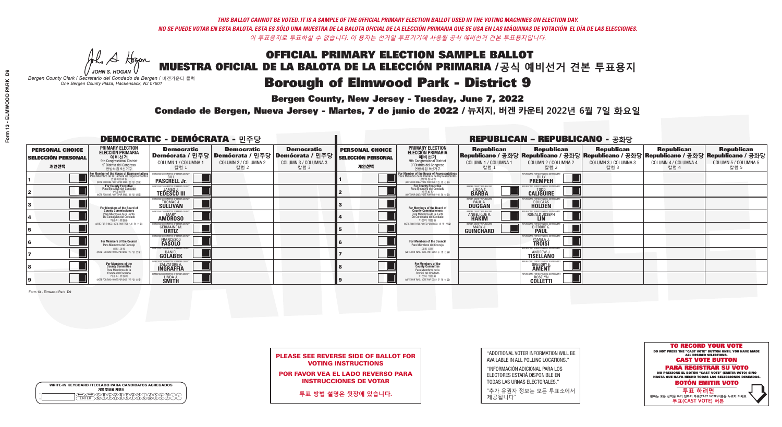**Bergen County, New Jersey - Tuesday, June 7, 2022** 

A Hogen *JOHN S. HOGAN*

| <b>WRITE-IN KEYBOARD /TECLADO PARA CANDIDATOS AGREGADOS</b><br>기명 투표용 키보드 |  |
|---------------------------------------------------------------------------|--|
|                                                                           |  |

*Bergen County Clerk / Secretario del Condado de Bergen /* 버겐카운티 클럭 *One Bergen County Plaza, Hackensack, NJ 07601*



PLEASE SEE REVERSE SIDE OF BALLOT FOR VOTING INSTRUCTIONS

POR FAVOR VEA EL LADO REVERSO PARA INSTRUCCIONES DE VOTAR

**투표 방법 설명은 뒷장에 있습니다.**

"ADDITIONAL VOTER INFORMATION WILL BE AVAILABLE IN ALL POLLING LOCATIONS."

"INFORMACIÓN ADICIONAL PARA LOS ELECTORES ESTARÁ DISPONIBLE EN TODAS LAS URNAS ELECTORALES."

"추가 유권자 정보는 모든 투표소에서 제공됩니다"

Condado de Bergen, Nueva Jersey - Martes, 7 de junio de 2022 / 뉴저지, 버겐 카운티 2022년 6월 7일 화요일 *One Bergen County Plaza, Hackensack, NJ 07601*

|                                                             |                                                                                                                                               |                                                                        |                                                   |                                                                                                        | <b>REPUBLICAN - REPUBLICANO - 공화당</b>                       |                                                                                                                                               |                                                   |                                                                                                                                                |                                                   |                                                   |                                                   |
|-------------------------------------------------------------|-----------------------------------------------------------------------------------------------------------------------------------------------|------------------------------------------------------------------------|---------------------------------------------------|--------------------------------------------------------------------------------------------------------|-------------------------------------------------------------|-----------------------------------------------------------------------------------------------------------------------------------------------|---------------------------------------------------|------------------------------------------------------------------------------------------------------------------------------------------------|---------------------------------------------------|---------------------------------------------------|---------------------------------------------------|
| <b>PERSONAL CHOICE</b><br><b>SELECCIÓN PERSONAL</b><br>개인선택 | <b>PRIMARY ELECTION</b><br>ELECCIÓN PRIMARIA<br>예비선거<br><sup>9th</sup> Congressional District<br>9° Distrito del Congreso<br>연방하원 9선거구        | <b>Democratic</b><br>COLUMN 1 / COLUMNA 1<br>칼럼 1                      | <b>Democratic</b><br>COLUMN 2 / COLUMNA 2<br>칼럼 2 | <b>Democratic</b><br>│Demócrata / 민주당│Demócrata / 민주당│Demócrata / 민주당│<br>COLUMN 3 / COLUMNA 3<br>칼럼 3 | <b>PERSONAL CHOICE</b><br><b>SELECCIÓN PERSONAL</b><br>개인선택 | <b>PRIMARY ELECTION</b><br>ELECCIÓN PRIMARIA<br>예비선거<br><sup>9th</sup> Congressional District<br>9° Distrito del Congreso<br>연방하원 9선거구        | <b>Republican</b><br>COLUMN 1 / COLUMNA 1<br>칼럼 1 | <b>Republican</b><br>Republicano / 공화당 Republicano / 공화당 Republicano / 공화당 Republicano / 공화당 Republicano / 공화당<br>COLUMN 2 / COLUMNA 2<br>칼럼 2 | <b>Republican</b><br>COLUMN 3 / COLUMNA 3<br>칼럼 3 | <b>Republican</b><br>COLUMN 4 / COLUMNA 4<br>칼럼 4 | <b>Republican</b><br>COLUMN 5 / COLUMNA 5<br>칼럼 5 |
|                                                             | For Member of the House of Representatives<br>Para Miembro de la Cámara de Representantes<br>연방하원의원<br>(VOTE FOR ONE / VOTE POR UNO / 한 명 선출) | COMMITTEE OF BERGEN COUNT<br><b>PASCRELL Jr.</b>                       |                                                   |                                                                                                        |                                                             | For Member of the House of Representatives<br>Para Miembro de la Cámara de Representantes<br>연방하원의원<br>(VOTE FOR ONE / VOTE POR UNO / 한 명 선출) |                                                   | PUBLICANS FOR RESPONSIBLE GOVERNMEN<br><b>PREMPEH</b>                                                                                          |                                                   |                                                   |                                                   |
|                                                             | <b>For County Executive</b><br>Para Ejecutivo del Condado<br>가운티장<br>(VOTE FOR ONE / VOTE POR UNO / 한 명 선출)                                   | JEMOCRATIC COMMITTEE OF BERGEN CO<br><b>TEDESCO III</b>                |                                                   |                                                                                                        |                                                             | For County Executive<br>Para Ejecutivo del Condado<br>. 카운티장<br>(VOTE FOR ONE / VOTE POR UNO / 한 명 선출)                                        | BERGEN COUNTY REPUBLICAN<br>LINDA T.              | <b>CALIGUIRE</b>                                                                                                                               |                                                   |                                                   |                                                   |
|                                                             | <b>For Members of the Board of<br/>County Commissioners</b>                                                                                   | EMOCRATIC COMMITTEE OF BERGEN COUN<br>THOMAS J.                        |                                                   |                                                                                                        |                                                             | For Members of the Board of<br>County Commissioners                                                                                           | ERGEN COUNTY REPUBLICAN<br><b>DUGGAN</b>          | <b>DOUGLAS</b>                                                                                                                                 |                                                   |                                                   |                                                   |
|                                                             | Para Miembros de la Junta<br>De Concejales del Condado<br>카운티 위원들                                                                             | MOCRATIC COMMITTEE OF BERGEN COUNTY<br><b>AMOROSO</b>                  |                                                   |                                                                                                        |                                                             | Para Miembros de la Junta<br>De Concejales del Condado<br>카운티 위원들                                                                             | ERGEN COUNTY REPUBLICAN<br>ANGELIQUE R            | II ICANS FOR RESPONSIBI E GOV<br>RONALD JOSEPH                                                                                                 |                                                   |                                                   |                                                   |
|                                                             | NOTE FOR THREE / VOTE POR TRES / 세 명 선출)                                                                                                      | CRATIC COMMITTEE OF REBGEN COUNT<br><b>GERMAINE M.</b><br><b>ORTIZ</b> |                                                   |                                                                                                        |                                                             | NOTE FOR THREE / VOTE POR TRES / 세 명 선출)                                                                                                      | ERGEN COUNTY REPUBLICAN<br>MARY.<br>GUINCHARD     | <b>DIERDRE</b>                                                                                                                                 |                                                   |                                                   |                                                   |
|                                                             | <b>For Members of the Council</b><br>Para Miembros del Conceio                                                                                | MOCRATIC COMMITTEE OF BERGEN CI<br>FRANCESCO<br><b>FASOLO</b>          |                                                   |                                                                                                        |                                                             | <b>For Members of the Council</b><br>Para Miembros del Concejo                                                                                |                                                   | PAMELA J.                                                                                                                                      |                                                   |                                                   |                                                   |
|                                                             | 의회 의원<br>NOTE FOR TWO / VOTE POR DOS / 두 명 선출)                                                                                                | MOCRATIC COMMITTEE OF BERGEN COUNT<br><b>GOLABEK</b>                   |                                                   |                                                                                                        |                                                             | 의회 의원<br>NOTE FOR TWO / VOTE POR DOS / 두 명 선출)                                                                                                |                                                   | PUBLICANS FOR RESPONSIBLE G<br><b>ANDREW J.</b><br>TISELLANO                                                                                   |                                                   |                                                   |                                                   |
|                                                             | For Members of the<br>County Committee<br>Para Miembros de la<br>Comité del Condado                                                           | SALVATORE A.                                                           |                                                   |                                                                                                        |                                                             | For Members of the<br>County Committee<br>Para Miembros de la<br>Comité del Condado                                                           |                                                   | <b>GREGORY E.</b><br><b>AMENT</b>                                                                                                              |                                                   |                                                   |                                                   |
|                                                             | 카운티 위원회<br>(VOTE FOR TWO / VOTE POR DOS / 두 명 선출)                                                                                             | EMOCRATIC COMMITTEE OF BERGEN COUNT<br>LINDA J.                        |                                                   |                                                                                                        |                                                             | ------- --------<br>카운티 위원회<br>NOTE FOR TWO / VOTE POR DOS / 두 명 선출)                                                                          |                                                   | PUBLICANS FOR RESPONSIBLE<br><b>COLLETTI</b>                                                                                                   |                                                   |                                                   |                                                   |